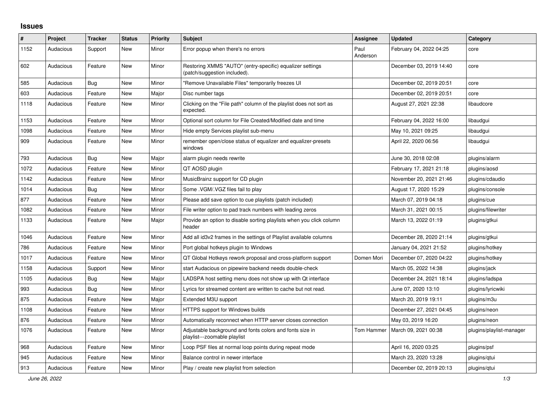## **Issues**

| ∦    | Project   | <b>Tracker</b> | <b>Status</b> | <b>Priority</b> | <b>Subject</b>                                                                            | Assignee         | <b>Updated</b>          | Category                 |
|------|-----------|----------------|---------------|-----------------|-------------------------------------------------------------------------------------------|------------------|-------------------------|--------------------------|
| 1152 | Audacious | Support        | <b>New</b>    | Minor           | Error popup when there's no errors                                                        | Paul<br>Anderson | February 04, 2022 04:25 | core                     |
| 602  | Audacious | Feature        | <b>New</b>    | Minor           | Restoring XMMS "AUTO" (entry-specific) equalizer settings<br>(patch/suggestion included). |                  | December 03, 2019 14:40 | core                     |
| 585  | Audacious | <b>Bug</b>     | <b>New</b>    | Minor           | "Remove Unavailable Files" temporarily freezes UI                                         |                  | December 02, 2019 20:51 | core                     |
| 603  | Audacious | Feature        | <b>New</b>    | Major           | Disc number tags                                                                          |                  | December 02, 2019 20:51 | core                     |
| 1118 | Audacious | Feature        | <b>New</b>    | Minor           | Clicking on the "File path" column of the playlist does not sort as<br>expected.          |                  | August 27, 2021 22:38   | libaudcore               |
| 1153 | Audacious | Feature        | <b>New</b>    | Minor           | Optional sort column for File Created/Modified date and time                              |                  | February 04, 2022 16:00 | libaudgui                |
| 1098 | Audacious | Feature        | <b>New</b>    | Minor           | Hide empty Services playlist sub-menu                                                     |                  | May 10, 2021 09:25      | libaudgui                |
| 909  | Audacious | Feature        | <b>New</b>    | Minor           | remember open/close status of equalizer and equalizer-presets<br>windows                  |                  | April 22, 2020 06:56    | libaudgui                |
| 793  | Audacious | Bug            | <b>New</b>    | Major           | alarm plugin needs rewrite                                                                |                  | June 30, 2018 02:08     | plugins/alarm            |
| 1072 | Audacious | Feature        | <b>New</b>    | Minor           | QT AOSD plugin                                                                            |                  | February 17, 2021 21:18 | plugins/aosd             |
| 1142 | Audacious | Feature        | <b>New</b>    | Minor           | MusicBrainz support for CD plugin                                                         |                  | November 20, 2021 21:46 | plugins/cdaudio          |
| 1014 | Audacious | Bug            | <b>New</b>    | Minor           | Some .VGM/.VGZ files fail to play                                                         |                  | August 17, 2020 15:29   | plugins/console          |
| 877  | Audacious | Feature        | <b>New</b>    | Minor           | Please add save option to cue playlists (patch included)                                  |                  | March 07, 2019 04:18    | plugins/cue              |
| 1082 | Audacious | Feature        | <b>New</b>    | Minor           | File writer option to pad track numbers with leading zeros                                |                  | March 31, 2021 00:15    | plugins/filewriter       |
| 1133 | Audacious | Feature        | New           | Major           | Provide an option to disable sorting playlists when you click column<br>header            |                  | March 13, 2022 01:19    | plugins/gtkui            |
| 1046 | Audacious | Feature        | <b>New</b>    | Minor           | Add all id3v2 frames in the settings of Playlist available columns                        |                  | December 28, 2020 21:14 | plugins/gtkui            |
| 786  | Audacious | Feature        | New           | Minor           | Port global hotkeys plugin to Windows                                                     |                  | January 04, 2021 21:52  | plugins/hotkey           |
| 1017 | Audacious | Feature        | <b>New</b>    | Minor           | QT Global Hotkeys rework proposal and cross-platform support                              | Domen Mori       | December 07, 2020 04:22 | plugins/hotkey           |
| 1158 | Audacious | Support        | <b>New</b>    | Minor           | start Audacious on pipewire backend needs double-check                                    |                  | March 05, 2022 14:38    | plugins/jack             |
| 1105 | Audacious | Bug            | <b>New</b>    | Major           | LADSPA host setting menu does not show up with Qt interface                               |                  | December 24, 2021 18:14 | plugins/ladspa           |
| 993  | Audacious | <b>Bug</b>     | <b>New</b>    | Minor           | Lyrics for streamed content are written to cache but not read.                            |                  | June 07, 2020 13:10     | plugins/lyricwiki        |
| 875  | Audacious | Feature        | <b>New</b>    | Major           | Extended M3U support                                                                      |                  | March 20, 2019 19:11    | plugins/m3u              |
| 1108 | Audacious | Feature        | <b>New</b>    | Minor           | HTTPS support for Windows builds                                                          |                  | December 27, 2021 04:45 | plugins/neon             |
| 876  | Audacious | Feature        | <b>New</b>    | Minor           | Automatically reconnect when HTTP server closes connection                                |                  | May 03, 2019 16:20      | plugins/neon             |
| 1076 | Audacious | Feature        | <b>New</b>    | Minor           | Adjustable background and fonts colors and fonts size in<br>playlist---zoomable playlist  | Tom Hammer       | March 09, 2021 00:38    | plugins/playlist-manager |
| 968  | Audacious | Feature        | New           | Minor           | Loop PSF files at normal loop points during repeat mode                                   |                  | April 16, 2020 03:25    | plugins/psf              |
| 945  | Audacious | Feature        | <b>New</b>    | Minor           | Balance control in newer interface                                                        |                  | March 23, 2020 13:28    | plugins/gtui             |
| 913  | Audacious | Feature        | <b>New</b>    | Minor           | Play / create new playlist from selection                                                 |                  | December 02, 2019 20:13 | plugins/qtui             |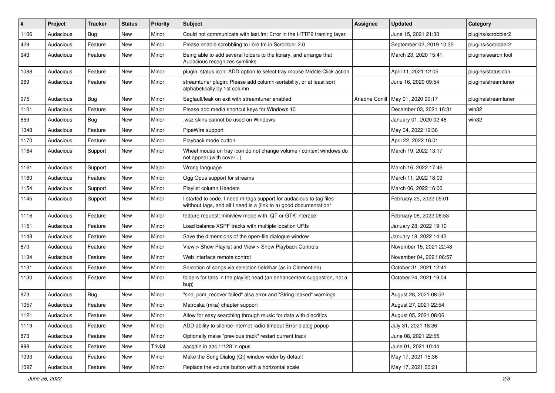| $\#$ | Project   | <b>Tracker</b> | <b>Status</b> | <b>Priority</b> | <b>Subject</b>                                                                                                                            | Assignee       | <b>Updated</b>           | Category            |
|------|-----------|----------------|---------------|-----------------|-------------------------------------------------------------------------------------------------------------------------------------------|----------------|--------------------------|---------------------|
| 1106 | Audacious | <b>Bug</b>     | New           | Minor           | Could not communicate with last.fm: Error in the HTTP2 framing layer.                                                                     |                | June 15, 2021 21:30      | plugins/scrobbler2  |
| 429  | Audacious | Feature        | <b>New</b>    | Minor           | Please enable scrobbling to libre.fm in Scrobbler 2.0                                                                                     |                | September 02, 2019 10:35 | plugins/scrobbler2  |
| 943  | Audacious | Feature        | New           | Minor           | Being able to add several folders to the library, and arrange that<br>Audacious recognizes symlinks                                       |                | March 23, 2020 15:41     | plugins/search tool |
| 1088 | Audacious | Feature        | New           | Minor           | plugin: status icon: ADD option to select tray mouse Middle Click action                                                                  |                | April 11, 2021 12:05     | plugins/statusicon  |
| 969  | Audacious | Feature        | New           | Minor           | streamtuner plugin: Please add column-sortability, or at least sort<br>alphabetically by 1st column                                       |                | June 16, 2020 09:54      | plugins/streamtuner |
| 975  | Audacious | Bug            | New           | Minor           | Segfault/leak on exit with streamtuner enabled                                                                                            | Ariadne Conill | May 01, 2020 00:17       | plugins/streamtuner |
| 1101 | Audacious | Feature        | New           | Major           | Please add media shortcut keys for Windows 10                                                                                             |                | December 03, 2021 16:31  | win32               |
| 859  | Audacious | <b>Bug</b>     | <b>New</b>    | Minor           | .wsz skins cannot be used on Windows                                                                                                      |                | January 01, 2020 02:48   | win32               |
| 1048 | Audacious | Feature        | New           | Minor           | PipeWire support                                                                                                                          |                | May 04, 2022 19:36       |                     |
| 1170 | Audacious | Feature        | New           | Minor           | Playback mode button                                                                                                                      |                | April 22, 2022 16:01     |                     |
| 1164 | Audacious | Support        | New           | Minor           | Wheel mouse on tray icon do not change volume / context windows do<br>not appear (with cover)                                             |                | March 19, 2022 13:17     |                     |
| 1161 | Audacious | Support        | New           | Major           | Wrong language                                                                                                                            |                | March 16, 2022 17:46     |                     |
| 1160 | Audacious | Feature        | New           | Minor           | Ogg Opus support for streams                                                                                                              |                | March 11, 2022 18:09     |                     |
| 1154 | Audacious | Support        | New           | Minor           | Playlist column Headers                                                                                                                   |                | March 06, 2022 16:06     |                     |
| 1145 | Audacious | Support        | <b>New</b>    | Minor           | I started to code, I need m-tags support for audacious to tag files<br>witthout tags, and all I need is a (link to a) good documentation* |                | February 25, 2022 05:01  |                     |
| 1116 | Audacious | Feature        | New           | Minor           | feature request: miniview mode with QT or GTK interace                                                                                    |                | February 08, 2022 06:53  |                     |
| 1151 | Audacious | Feature        | New           | Minor           | Load balance XSPF tracks with multiple location URIs                                                                                      |                | January 28, 2022 19:10   |                     |
| 1148 | Audacious | Feature        | New           | Minor           | Save the dimensions of the open-file dialogue window                                                                                      |                | January 18, 2022 14:43   |                     |
| 870  | Audacious | Feature        | <b>New</b>    | Minor           | View > Show Playlist and View > Show Playback Controls                                                                                    |                | November 15, 2021 22:48  |                     |
| 1134 | Audacious | Feature        | New           | Minor           | Web interface remote control                                                                                                              |                | November 04, 2021 06:57  |                     |
| 1131 | Audacious | Feature        | New           | Minor           | Selection of songs via selection field/bar (as in Clementine)                                                                             |                | October 31, 2021 12:41   |                     |
| 1130 | Audacious | Feature        | New           | Minor           | folders for tabs in the playlist head (an enhancement suggestion, not a<br>bug)                                                           |                | October 24, 2021 19:04   |                     |
| 973  | Audacious | Bug            | New           | Minor           | "snd pcm recover failed" alsa error and "String leaked" warnings                                                                          |                | August 28, 2021 08:52    |                     |
| 1057 | Audacious | Feature        | New           | Minor           | Matroska (mka) chapter support                                                                                                            |                | August 27, 2021 22:54    |                     |
| 1121 | Audacious | Feature        | New           | Minor           | Allow for easy searching through music for data with diacritics                                                                           |                | August 05, 2021 08:06    |                     |
| 1119 | Audacious | Feature        | New           | Minor           | ADD ability to silence internet radio timeout Error dialog popup                                                                          |                | July 31, 2021 18:36      |                     |
| 873  | Audacious | Feature        | New           | Minor           | Optionally make "previous track" restart current track                                                                                    |                | June 08, 2021 22:55      |                     |
| 998  | Audacious | Feature        | New           | Trivial         | aacgain in aac / r128 in opus                                                                                                             |                | June 01, 2021 10:44      |                     |
| 1093 | Audacious | Feature        | New           | Minor           | Make the Song Dialog (Qt) window wider by default                                                                                         |                | May 17, 2021 15:36       |                     |
| 1097 | Audacious | Feature        | New           | Minor           | Replace the volume button with a horizontal scale                                                                                         |                | May 17, 2021 00:21       |                     |